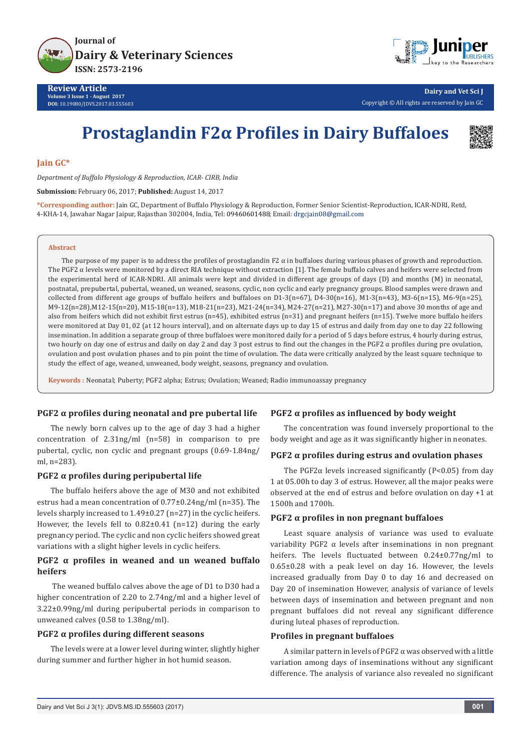



**Dairy and Vet Sci J** Copyright © All rights are reserved by Jain GC

# **Prostaglandin F2α Profiles in Dairy Buffaloes**



## **Jain GC\***

*Department of Buffalo Physiology & Reproduction, ICAR- CIRB, India*

**Submission:** February 06, 2017; **Published:** August 14, 2017

**\*Corresponding author:** Jain GC, Department of Buffalo Physiology & Reproduction, Former Senior Scientist-Reproduction, ICAR-NDRI, Retd, 4-KHA-14, Jawahar Nagar Jaipur, Rajasthan 302004, India, Tel: 09460601488; Email: drgcjain08@gmail.com

#### **Abstract**

The purpose of my paper is to address the profiles of prostaglandin F2  $\alpha$  in buffaloes during various phases of growth and reproduction. The PGF2 α levels were monitored by a direct RIA technique without extraction [1]. The female buffalo calves and heifers were selected from the experimental herd of ICAR-NDRI. All animals were kept and divided in different age groups of days (D) and months (M) in neonatal, postnatal, prepubertal, pubertal, weaned, un weaned, seasons, cyclic, non cyclic and early pregnancy groups. Blood samples were drawn and collected from different age groups of buffalo heifers and buffaloes on  $D1-3(n=67)$ ,  $D4-30(n=16)$ ,  $M1-3(n=43)$ ,  $M3-6(n=15)$ ,  $M6-9(n=25)$ , M9-12(n=28),M12-15(n=20), M15-18(n=13), M18-21(n=23), M21-24(n=34), M24-27(n=21), M27-30(n=17) and above 30 months of age and also from heifers which did not exhibit first estrus (n=45), exhibited estrus (n=31) and pregnant heifers (n=15). Twelve more buffalo heifers were monitored at Day 01, 02 (at 12 hours interval), and on alternate days up to day 15 of estrus and daily from day one to day 22 following insemination. In addition a separate group of three buffaloes were monitored daily for a period of 5 days before estrus, 4 hourly during estrus, two hourly on day one of estrus and daily on day 2 and day 3 post estrus to find out the changes in the PGF2 α profiles during pre ovulation, ovulation and post ovulation phases and to pin point the time of ovulation. The data were critically analyzed by the least square technique to study the effect of age, weaned, unweaned, body weight, seasons, pregnancy and ovulation.

**Keywords :** Neonatal; Puberty; PGF2 alpha; Estrus; Ovulation; Weaned; Radio immunoassay pregnancy

#### **PGF2 α profiles during neonatal and pre pubertal life**

The newly born calves up to the age of day 3 had a higher concentration of 2.31ng/ml (n=58) in comparison to pre pubertal, cyclic, non cyclic and pregnant groups (0.69-1.84ng/ ml, n=283).

# **PGF2 α profiles during peripubertal life**

The buffalo heifers above the age of M30 and not exhibited estrus had a mean concentration of 0.77±0.24ng/ml (n=35). The levels sharply increased to 1.49±0.27 (n=27) in the cyclic heifers. However, the levels fell to 0.82±0.41 (n=12) during the early pregnancy period. The cyclic and non cyclic heifers showed great variations with a slight higher levels in cyclic heifers.

# **PGF2 α profiles in weaned and un weaned buffalo heifers**

 The weaned buffalo calves above the age of D1 to D30 had a higher concentration of 2.20 to 2.74ng/ml and a higher level of 3.22±0.99ng/ml during peripubertal periods in comparison to unweaned calves (0.58 to 1.38ng/ml).

#### **PGF2 α profiles during different seasons**

The levels were at a lower level during winter, slightly higher during summer and further higher in hot humid season.

## **PGF2 α profiles as influenced by body weight**

The concentration was found inversely proportional to the body weight and age as it was significantly higher in neonates.

## **PGF2 α profiles during estrus and ovulation phases**

The PGF2 $\alpha$  levels increased significantly (P<0.05) from day 1 at 05.00h to day 3 of estrus. However, all the major peaks were observed at the end of estrus and before ovulation on day +1 at 1500h and 1700h.

## **PGF2 α profiles in non pregnant buffaloes**

Least square analysis of variance was used to evaluate variability PGF2  $\alpha$  levels after inseminations in non pregnant heifers. The levels fluctuated between 0.24±0.77ng/ml to 0.65±0.28 with a peak level on day 16. However, the levels increased gradually from Day 0 to day 16 and decreased on Day 20 of insemination However, analysis of variance of levels between days of insemination and between pregnant and non pregnant buffaloes did not reveal any significant difference during luteal phases of reproduction.

## **Profiles in pregnant buffaloes**

A similar pattern in levels of PGF2  $\alpha$  was observed with a little variation among days of inseminations without any significant difference. The analysis of variance also revealed no significant